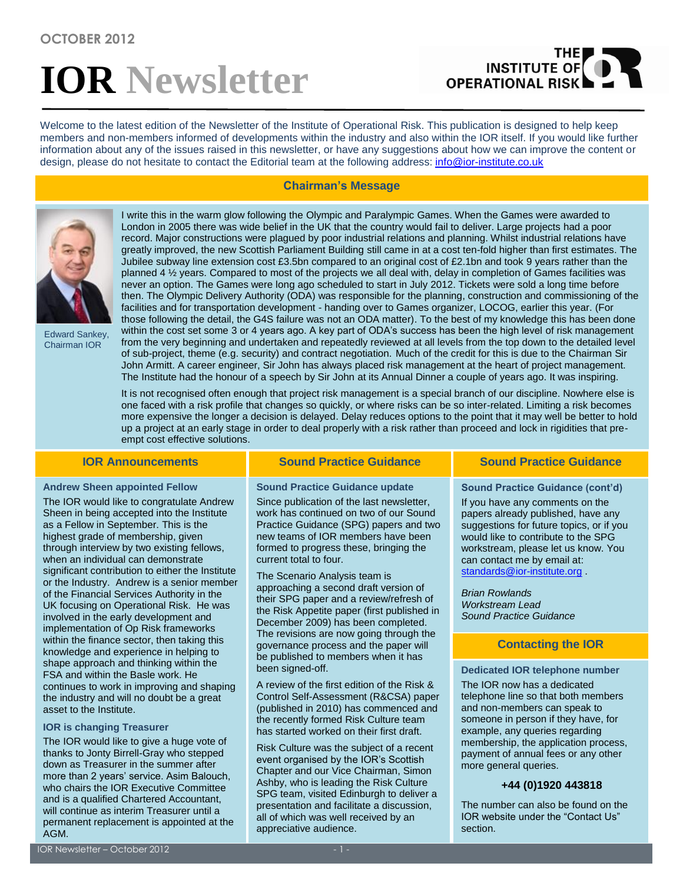# **IOR Newsletter**

# THE **OPERATIONAL RISK**

Welcome to the latest edition of the Newsletter of the Institute of Operational Risk. This publication is designed to help keep members and non-members informed of developments within the industry and also within the IOR itself. If you would like further information about any of the issues raised in this newsletter, or have any suggestions about how we can improve the content or design, please do not hesitate to contact the Editorial team at the following address: [info@ior-institute.co.uk](mailto:info@ior-institute.co.uk)

### **Chairman's Message**



Edward Sankey, Chairman IOR

I write this in the warm glow following the Olympic and Paralympic Games. When the Games were awarded to London in 2005 there was wide belief in the UK that the country would fail to deliver. Large projects had a poor record. Major constructions were plagued by poor industrial relations and planning. Whilst industrial relations have greatly improved, the new Scottish Parliament Building still came in at a cost ten-fold higher than first estimates. The Jubilee subway line extension cost £3.5bn compared to an original cost of £2.1bn and took 9 years rather than the planned 4 ½ years. Compared to most of the projects we all deal with, delay in completion of Games facilities was never an option. The Games were long ago scheduled to start in July 2012. Tickets were sold a long time before then. The Olympic Delivery Authority (ODA) was responsible for the planning, construction and commissioning of the facilities and for transportation development - handing over to Games organizer, LOCOG, earlier this year. (For those following the detail, the G4S failure was not an ODA matter). To the best of my knowledge this has been done within the cost set some 3 or 4 years ago. A key part of ODA's success has been the high level of risk management from the very beginning and undertaken and repeatedly reviewed at all levels from the top down to the detailed level of sub-project, theme (e.g. security) and contract negotiation. Much of the credit for this is due to the Chairman Sir John Armitt. A career engineer, Sir John has always placed risk management at the heart of project management. The Institute had the honour of a speech by Sir John at its Annual Dinner a couple of years ago. It was inspiring.

It is not recognised often enough that project risk management is a special branch of our discipline. Nowhere else is one faced with a risk profile that changes so quickly, or where risks can be so inter-related. Limiting a risk becomes more expensive the longer a decision is delayed. Delay reduces options to the point that it may well be better to hold up a project at an early stage in order to deal properly with a risk rather than proceed and lock in rigidities that preempt cost effective solutions.

#### **Andrew Sheen appointed Fellow**

The IOR would like to congratulate Andrew Sheen in being accepted into the Institute as a Fellow in September. This is the highest grade of membership, given through interview by two existing fellows, when an individual can demonstrate significant contribution to either the Institute or the Industry. Andrew is a senior member of the Financial Services Authority in the UK focusing on Operational Risk. He was involved in the early development and implementation of Op Risk frameworks within the finance sector, then taking this knowledge and experience in helping to shape approach and thinking within the FSA and within the Basle work. He continues to work in improving and shaping the industry and will no doubt be a great asset to the Institute.

#### **IOR is changing Treasurer**

The IOR would like to give a huge vote of thanks to Jonty Birrell-Gray who stepped down as Treasurer in the summer after more than 2 years' service. Asim Balouch, who chairs the IOR Executive Committee and is a qualified Chartered Accountant, will continue as interim Treasurer until a permanent replacement is appointed at the AGM.

### **IOR Announcements Sound Practice Guidance Sound Practice Guidance**

**Sound Practice Guidance update**

Since publication of the last newsletter, work has continued on two of our Sound Practice Guidance (SPG) papers and two new teams of IOR members have been formed to progress these, bringing the current total to four.

The Scenario Analysis team is approaching a second draft version of their SPG paper and a review/refresh of the Risk Appetite paper (first published in December 2009) has been completed. The revisions are now going through the governance process and the paper will be published to members when it has been signed-off.

A review of the first edition of the Risk & Control Self-Assessment (R&CSA) paper (published in 2010) has commenced and the recently formed Risk Culture team has started worked on their first draft.

Risk Culture was the subject of a recent event organised by the IOR's Scottish Chapter and our Vice Chairman, Simon Ashby, who is leading the Risk Culture SPG team, visited Edinburgh to deliver a presentation and facilitate a discussion, all of which was well received by an appreciative audience.

**Sound Practice Guidance (cont'd)**

If you have any comments on the papers already published, have any suggestions for future topics, or if you would like to contribute to the SPG workstream, please let us know. You can contact me by email at: [standards@ior-institute.org](mailto:standards@ior-institute.org) .

*Brian Rowlands Workstream Lead Sound Practice Guidance*

### **Contacting the IOR**

**Dedicated IOR telephone number**

The IOR now has a dedicated telephone line so that both members and non-members can speak to someone in person if they have, for example, any queries regarding membership, the application process, payment of annual fees or any other more general queries.

### **+44 (0)1920 443818**

The number can also be found on the IOR website under the "Contact Us" section.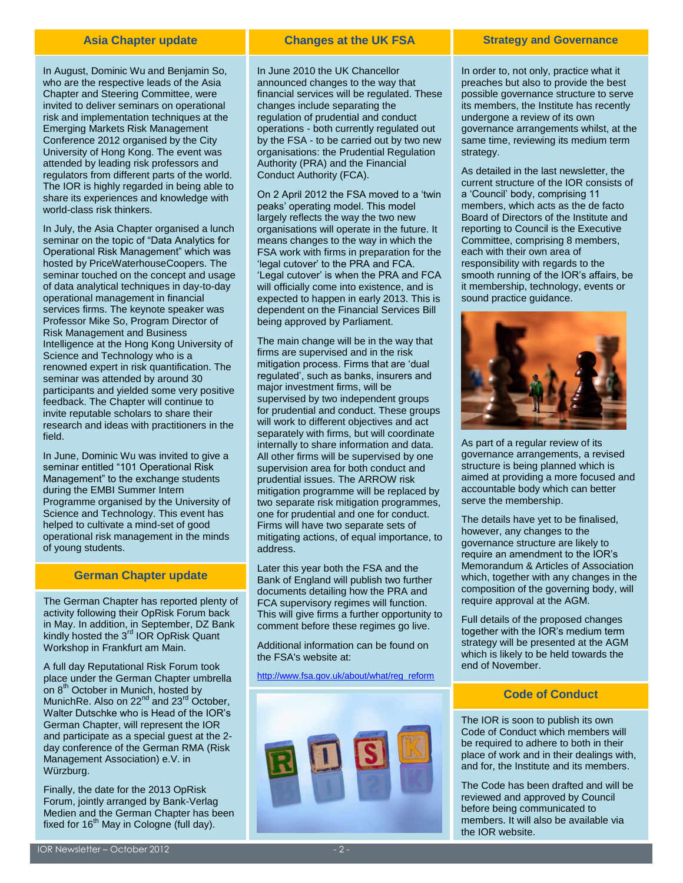In August, Dominic Wu and Benjamin So, who are the respective leads of the Asia Chapter and Steering Committee, were invited to deliver seminars on operational risk and implementation techniques at the Emerging Markets Risk Management Conference 2012 organised by the City University of Hong Kong. The event was attended by leading risk professors and regulators from different parts of the world. The IOR is highly regarded in being able to share its experiences and knowledge with world-class risk thinkers.

In July, the Asia Chapter organised a lunch seminar on the topic of "Data Analytics for Operational Risk Management" which was hosted by PriceWaterhouseCoopers. The seminar touched on the concept and usage of data analytical techniques in day-to-day operational management in financial services firms. The keynote speaker was Professor Mike So, Program Director of Risk Management and Business Intelligence at the Hong Kong University of Science and Technology who is a renowned expert in risk quantification. The seminar was attended by around 30 participants and yielded some very positive feedback. The Chapter will continue to invite reputable scholars to share their research and ideas with practitioners in the field.

In June, Dominic Wu was invited to give a seminar entitled "101 Operational Risk Management" to the exchange students during the EMBI Summer Intern Programme organised by the University of Science and Technology. This event has helped to cultivate a mind-set of good operational risk management in the minds of young students.

#### **German Chapter update**

The German Chapter has reported plenty of activity following their OpRisk Forum back in May. In addition, in September, DZ Bank kindly hosted the 3<sup>rd</sup> IOR OpRisk Quant Workshop in Frankfurt am Main.

A full day Reputational Risk Forum took place under the German Chapter umbrella on 8<sup>th</sup> October in Munich, hosted by MunichRe. Also on 22<sup>nd</sup> and 23<sup>rd</sup> October, Walter Dutschke who is Head of the IOR's German Chapter, will represent the IOR and participate as a special guest at the 2 day conference of the German RMA (Risk Management Association) e.V. in Würzburg.

Finally, the date for the 2013 OpRisk Forum, jointly arranged by Bank-Verlag Medien and the German Chapter has been fixed for  $16<sup>th</sup>$  May in Cologne (full day).

#### **Asia Chapter update Changes at the UK FSA Strategy and Governance**

In June 2010 the UK Chancellor announced changes to the way that financial services will be regulated. These changes include separating the regulation of prudential and conduct operations - both currently regulated out by the FSA - to be carried out by two new organisations: the Prudential Regulation Authority (PRA) and the Financial Conduct Authority (FCA).

On 2 April 2012 the FSA moved to a 'twin peaks' operating model. This model largely reflects the way the two new organisations will operate in the future. It means changes to the way in which the FSA work with firms in preparation for the 'legal cutover' to the PRA and FCA. 'Legal cutover' is when the PRA and FCA will officially come into existence, and is expected to happen in early 2013. This is dependent on the Financial Services Bill being approved by Parliament.

The main change will be in the way that firms are supervised and in the risk mitigation process. Firms that are 'dual regulated', such as banks, insurers and major investment firms, will be supervised by two independent groups for prudential and conduct. These groups will work to different objectives and act separately with firms, but will coordinate internally to share information and data. All other firms will be supervised by one supervision area for both conduct and prudential issues. The ARROW risk mitigation programme will be replaced by two separate risk mitigation programmes, one for prudential and one for conduct. Firms will have two separate sets of mitigating actions, of equal importance, to address.

Later this year both the FSA and the Bank of England will publish two further documents detailing how the PRA and FCA supervisory regimes will function. This will give firms a further opportunity to comment before these regimes go live.

Additional information can be found on the FSA's website at:

[http://www.fsa.gov.uk/about/what/reg\\_reform](http://www.fsa.gov.uk/about/what/reg_reform)



In order to, not only, practice what it preaches but also to provide the best possible governance structure to serve its members, the Institute has recently undergone a review of its own governance arrangements whilst, at the same time, reviewing its medium term strategy.

As detailed in the last newsletter, the current structure of the IOR consists of a 'Council' body, comprising 11 members, which acts as the de facto Board of Directors of the Institute and reporting to Council is the Executive Committee, comprising 8 members, each with their own area of responsibility with regards to the smooth running of the IOR's affairs, be it membership, technology, events or sound practice guidance.



As part of a regular review of its governance arrangements, a revised structure is being planned which is aimed at providing a more focused and accountable body which can better serve the membership.

The details have yet to be finalised, however, any changes to the governance structure are likely to require an amendment to the IOR's Memorandum & Articles of Association which, together with any changes in the composition of the governing body, will require approval at the AGM.

Full details of the proposed changes together with the IOR's medium term strategy will be presented at the AGM which is likely to be held towards the end of November.

### **Code of Conduct**

The IOR is soon to publish its own Code of Conduct which members will be required to adhere to both in their place of work and in their dealings with, and for, the Institute and its members.

The Code has been drafted and will be reviewed and approved by Council before being communicated to members. It will also be available via the IOR website.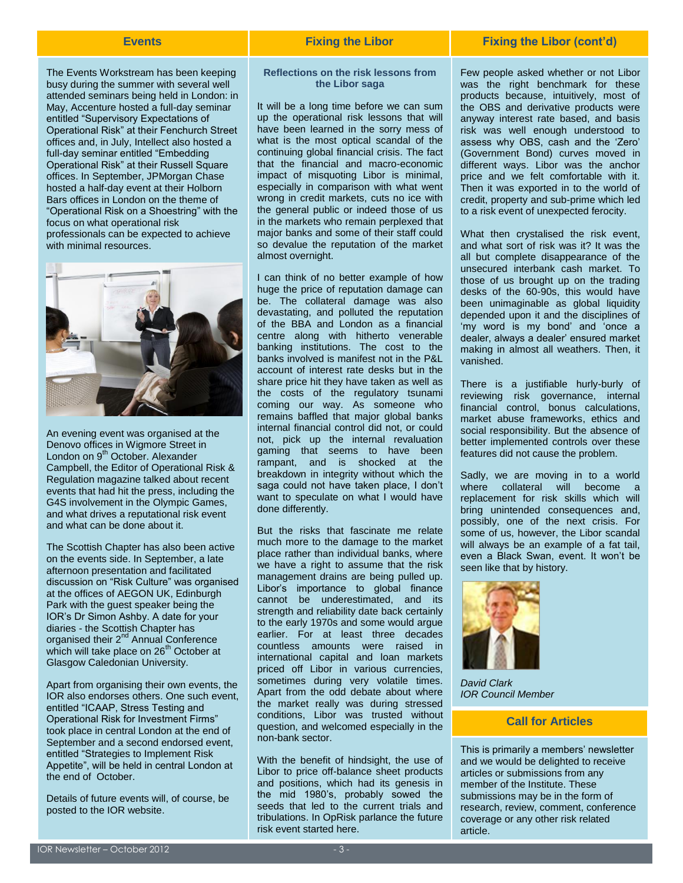The Events Workstream has been keeping busy during the summer with several well attended seminars being held in London: in May, Accenture hosted a full-day seminar entitled "Supervisory Expectations of Operational Risk" at their Fenchurch Street offices and, in July, Intellect also hosted a full-day seminar entitled "Embedding Operational Risk" at their Russell Square offices. In September, JPMorgan Chase hosted a half-day event at their Holborn Bars offices in London on the theme of "Operational Risk on a Shoestring" with the focus on what operational risk professionals can be expected to achieve with minimal resources.



An evening event was organised at the Denovo offices in Wigmore Street in London on 9<sup>th</sup> October. Alexander Campbell, the Editor of Operational Risk & Regulation magazine talked about recent events that had hit the press, including the G4S involvement in the Olympic Games, and what drives a reputational risk event and what can be done about it.

The Scottish Chapter has also been active on the events side. In September, a late afternoon presentation and facilitated discussion on "Risk Culture" was organised at the offices of AEGON UK, Edinburgh Park with the guest speaker being the IOR's Dr Simon Ashby. A date for your diaries - the Scottish Chapter has organised their 2<sup>nd</sup> Annual Conference which will take place on 26<sup>th</sup> October at Glasgow Caledonian University.

Apart from organising their own events, the IOR also endorses others. One such event, entitled "ICAAP, Stress Testing and Operational Risk for Investment Firms" took place in central London at the end of September and a second endorsed event, entitled "Strategies to Implement Risk Appetite", will be held in central London at the end of October.

Details of future events will, of course, be posted to the IOR website.

### **Events Fixing the Libor Fixing the Libor (cont'd)**

#### **Reflections on the risk lessons from the Libor saga**

It will be a long time before we can sum up the operational risk lessons that will have been learned in the sorry mess of what is the most optical scandal of the continuing global financial crisis. The fact that the financial and macro-economic impact of misquoting Libor is minimal, especially in comparison with what went wrong in credit markets, cuts no ice with the general public or indeed those of us in the markets who remain perplexed that major banks and some of their staff could so devalue the reputation of the market almost overnight.

I can think of no better example of how huge the price of reputation damage can be. The collateral damage was also devastating, and polluted the reputation of the BBA and London as a financial centre along with hitherto venerable banking institutions. The cost to the banks involved is manifest not in the P&L account of interest rate desks but in the share price hit they have taken as well as the costs of the regulatory tsunami coming our way. As someone who remains baffled that major global banks internal financial control did not, or could not, pick up the internal revaluation gaming that seems to have been rampant, and is shocked at the breakdown in integrity without which the saga could not have taken place, I don't want to speculate on what I would have done differently.

But the risks that fascinate me relate much more to the damage to the market place rather than individual banks, where we have a right to assume that the risk management drains are being pulled up. Libor's importance to global finance cannot be underestimated, and its strength and reliability date back certainly to the early 1970s and some would argue earlier. For at least three decades countless amounts were raised in international capital and loan markets priced off Libor in various currencies, sometimes during very volatile times. Apart from the odd debate about where the market really was during stressed conditions, Libor was trusted without question, and welcomed especially in the non-bank sector.

With the benefit of hindsight, the use of Libor to price off-balance sheet products and positions, which had its genesis in the mid 1980's, probably sowed the seeds that led to the current trials and tribulations. In OpRisk parlance the future risk event started here.

Few people asked whether or not Libor was the right benchmark for these products because, intuitively, most of the OBS and derivative products were anyway interest rate based, and basis risk was well enough understood to assess why OBS, cash and the 'Zero' (Government Bond) curves moved in different ways. Libor was the anchor price and we felt comfortable with it. Then it was exported in to the world of credit, property and sub-prime which led to a risk event of unexpected ferocity.

What then crystalised the risk event, and what sort of risk was it? It was the all but complete disappearance of the unsecured interbank cash market. To those of us brought up on the trading desks of the 60-90s, this would have been unimaginable as global liquidity depended upon it and the disciplines of 'my word is my bond' and 'once a dealer, always a dealer' ensured market making in almost all weathers. Then, it vanished.

There is a justifiable hurly-burly of reviewing risk governance, internal financial control, bonus calculations, market abuse frameworks, ethics and social responsibility. But the absence of better implemented controls over these features did not cause the problem.

Sadly, we are moving in to a world where collateral will become a replacement for risk skills which will bring unintended consequences and, possibly, one of the next crisis. For some of us, however, the Libor scandal will always be an example of a fat tail, even a Black Swan, event. It won't be seen like that by history.



*David Clark IOR Council Member*

### **Call for Articles**

This is primarily a members' newsletter and we would be delighted to receive articles or submissions from any member of the Institute. These submissions may be in the form of research, review, comment, conference coverage or any other risk related article.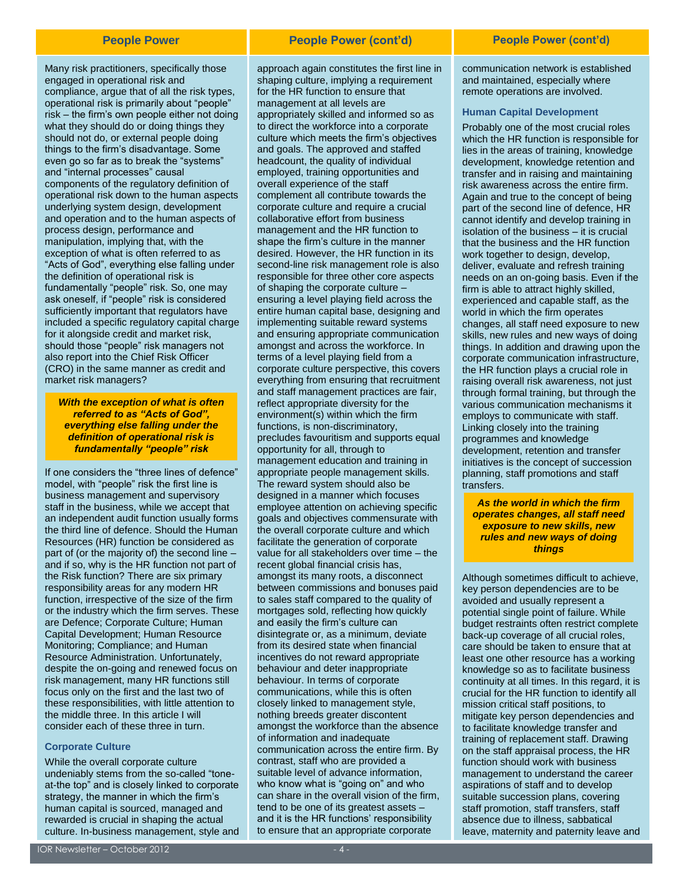Many risk practitioners, specifically those engaged in operational risk and compliance, argue that of all the risk types, operational risk is primarily about "people" risk – the firm's own people either not doing what they should do or doing things they should not do, or external people doing things to the firm's disadvantage. Some even go so far as to break the "systems" and "internal processes" causal components of the regulatory definition of operational risk down to the human aspects underlying system design, development and operation and to the human aspects of process design, performance and manipulation, implying that, with the exception of what is often referred to as "Acts of God", everything else falling under the definition of operational risk is fundamentally "people" risk. So, one may ask oneself, if "people" risk is considered sufficiently important that regulators have included a specific regulatory capital charge for it alongside credit and market risk, should those "people" risk managers not also report into the Chief Risk Officer (CRO) in the same manner as credit and market risk managers?

*With the exception of what is often referred to as "Acts of God", everything else falling under the definition of operational risk is fundamentally "people" risk*

If one considers the "three lines of defence" model, with "people" risk the first line is business management and supervisory staff in the business, while we accept that an independent audit function usually forms the third line of defence. Should the Human Resources (HR) function be considered as part of (or the majority of) the second line – and if so, why is the HR function not part of the Risk function? There are six primary responsibility areas for any modern HR function, irrespective of the size of the firm or the industry which the firm serves. These are Defence; Corporate Culture; Human Capital Development; Human Resource Monitoring; Compliance; and Human Resource Administration. Unfortunately, despite the on-going and renewed focus on risk management, many HR functions still focus only on the first and the last two of these responsibilities, with little attention to the middle three. In this article I will consider each of these three in turn.

#### **Corporate Culture**

While the overall corporate culture undeniably stems from the so-called "toneat-the top" and is closely linked to corporate strategy, the manner in which the firm's human capital is sourced, managed and rewarded is crucial in shaping the actual culture. In-business management, style and

#### **People Power People Power (cont'd) People Power (cont'd)**

approach again constitutes the first line in shaping culture, implying a requirement for the HR function to ensure that management at all levels are appropriately skilled and informed so as to direct the workforce into a corporate culture which meets the firm's objectives and goals. The approved and staffed headcount, the quality of individual employed, training opportunities and overall experience of the staff complement all contribute towards the corporate culture and require a crucial collaborative effort from business management and the HR function to shape the firm's culture in the manner desired. However, the HR function in its second-line risk management role is also responsible for three other core aspects of shaping the corporate culture – ensuring a level playing field across the entire human capital base, designing and implementing suitable reward systems and ensuring appropriate communication amongst and across the workforce. In terms of a level playing field from a corporate culture perspective, this covers everything from ensuring that recruitment and staff management practices are fair, reflect appropriate diversity for the environment(s) within which the firm functions, is non-discriminatory, precludes favouritism and supports equal opportunity for all, through to management education and training in appropriate people management skills. The reward system should also be designed in a manner which focuses employee attention on achieving specific goals and objectives commensurate with the overall corporate culture and which facilitate the generation of corporate value for all stakeholders over time – the recent global financial crisis has, amongst its many roots, a disconnect between commissions and bonuses paid to sales staff compared to the quality of mortgages sold, reflecting how quickly and easily the firm's culture can disintegrate or, as a minimum, deviate from its desired state when financial incentives do not reward appropriate behaviour and deter inappropriate behaviour. In terms of corporate communications, while this is often closely linked to management style, nothing breeds greater discontent amongst the workforce than the absence of information and inadequate communication across the entire firm. By contrast, staff who are provided a suitable level of advance information, who know what is "going on" and who can share in the overall vision of the firm, tend to be one of its greatest assets – and it is the HR functions' responsibility to ensure that an appropriate corporate

communication network is established and maintained, especially where remote operations are involved.

#### **Human Capital Development**

Probably one of the most crucial roles which the HR function is responsible for lies in the areas of training, knowledge development, knowledge retention and transfer and in raising and maintaining risk awareness across the entire firm. Again and true to the concept of being part of the second line of defence, HR cannot identify and develop training in isolation of the business – it is crucial that the business and the HR function work together to design, develop, deliver, evaluate and refresh training needs on an on-going basis. Even if the firm is able to attract highly skilled, experienced and capable staff, as the world in which the firm operates changes, all staff need exposure to new skills, new rules and new ways of doing things. In addition and drawing upon the corporate communication infrastructure, the HR function plays a crucial role in raising overall risk awareness, not just through formal training, but through the various communication mechanisms it employs to communicate with staff. Linking closely into the training programmes and knowledge development, retention and transfer initiatives is the concept of succession planning, staff promotions and staff transfers.

*As the world in which the firm operates changes, all staff need exposure to new skills, new rules and new ways of doing things*

Although sometimes difficult to achieve, key person dependencies are to be avoided and usually represent a potential single point of failure. While budget restraints often restrict complete back-up coverage of all crucial roles, care should be taken to ensure that at least one other resource has a working knowledge so as to facilitate business continuity at all times. In this regard, it is crucial for the HR function to identify all mission critical staff positions, to mitigate key person dependencies and to facilitate knowledge transfer and training of replacement staff. Drawing on the staff appraisal process, the HR function should work with business management to understand the career aspirations of staff and to develop suitable succession plans, covering staff promotion, staff transfers, staff absence due to illness, sabbatical leave, maternity and paternity leave and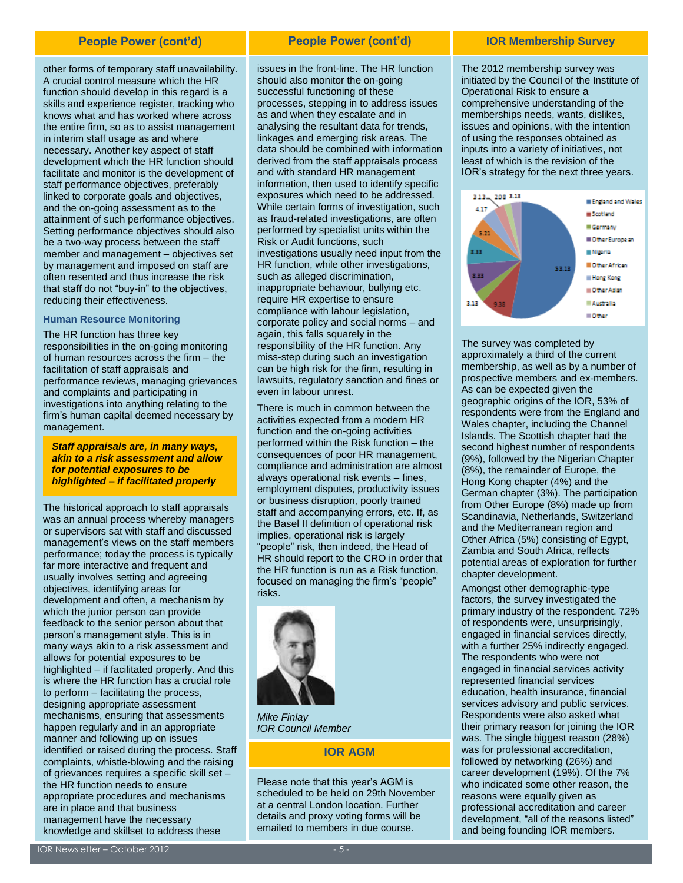other forms of temporary staff unavailability. A crucial control measure which the HR function should develop in this regard is a skills and experience register, tracking who knows what and has worked where across the entire firm, so as to assist management in interim staff usage as and where necessary. Another key aspect of staff development which the HR function should facilitate and monitor is the development of staff performance objectives, preferably linked to corporate goals and objectives, and the on-going assessment as to the attainment of such performance objectives. Setting performance objectives should also be a two-way process between the staff member and management – objectives set by management and imposed on staff are often resented and thus increase the risk that staff do not "buy-in" to the objectives, reducing their effectiveness.

#### **Human Resource Monitoring**

The HR function has three key responsibilities in the on-going monitoring of human resources across the firm – the facilitation of staff appraisals and performance reviews, managing grievances and complaints and participating in investigations into anything relating to the firm's human capital deemed necessary by management.

*Staff appraisals are, in many ways, akin to a risk assessment and allow for potential exposures to be highlighted – if facilitated properly*

The historical approach to staff appraisals was an annual process whereby managers or supervisors sat with staff and discussed management's views on the staff members performance; today the process is typically far more interactive and frequent and usually involves setting and agreeing objectives, identifying areas for development and often, a mechanism by which the junior person can provide feedback to the senior person about that person's management style. This is in many ways akin to a risk assessment and allows for potential exposures to be highlighted – if facilitated properly. And this is where the HR function has a crucial role to perform – facilitating the process, designing appropriate assessment mechanisms, ensuring that assessments happen regularly and in an appropriate manner and following up on issues identified or raised during the process. Staff complaints, whistle-blowing and the raising of grievances requires a specific skill set – the HR function needs to ensure appropriate procedures and mechanisms are in place and that business management have the necessary knowledge and skillset to address these

#### **People Power (cont'd) People Power (cont'd) IOR Membership Survey**

issues in the front-line. The HR function should also monitor the on-going successful functioning of these processes, stepping in to address issues as and when they escalate and in analysing the resultant data for trends, linkages and emerging risk areas. The data should be combined with information derived from the staff appraisals process and with standard HR management information, then used to identify specific exposures which need to be addressed. While certain forms of investigation, such as fraud-related investigations, are often performed by specialist units within the Risk or Audit functions, such investigations usually need input from the HR function, while other investigations, such as alleged discrimination, inappropriate behaviour, bullying etc. require HR expertise to ensure compliance with labour legislation, corporate policy and social norms – and again, this falls squarely in the responsibility of the HR function. Any miss-step during such an investigation can be high risk for the firm, resulting in lawsuits, regulatory sanction and fines or even in labour unrest.

There is much in common between the activities expected from a modern HR function and the on-going activities performed within the Risk function – the consequences of poor HR management, compliance and administration are almost always operational risk events – fines, employment disputes, productivity issues or business disruption, poorly trained staff and accompanying errors, etc. If, as the Basel II definition of operational risk implies, operational risk is largely "people" risk, then indeed, the Head of HR should report to the CRO in order that the HR function is run as a Risk function, focused on managing the firm's "people" risks.



*Mike Finlay IOR Council Member*

### **IOR AGM**

Please note that this year's AGM is scheduled to be held on 29th November at a central London location. Further details and proxy voting forms will be emailed to members in due course.

The 2012 membership survey was initiated by the Council of the Institute of Operational Risk to ensure a comprehensive understanding of the memberships needs, wants, dislikes, issues and opinions, with the intention of using the responses obtained as inputs into a variety of initiatives, not least of which is the revision of the IOR's strategy for the next three years.



The survey was completed by approximately a third of the current membership, as well as by a number of prospective members and ex-members. As can be expected given the geographic origins of the IOR, 53% of respondents were from the England and Wales chapter, including the Channel Islands. The Scottish chapter had the second highest number of respondents (9%), followed by the Nigerian Chapter (8%), the remainder of Europe, the Hong Kong chapter (4%) and the German chapter (3%). The participation from Other Europe (8%) made up from Scandinavia, Netherlands, Switzerland and the Mediterranean region and Other Africa (5%) consisting of Egypt, Zambia and South Africa, reflects potential areas of exploration for further chapter development.

Amongst other demographic-type factors, the survey investigated the primary industry of the respondent. 72% of respondents were, unsurprisingly, engaged in financial services directly, with a further 25% indirectly engaged. The respondents who were not engaged in financial services activity represented financial services education, health insurance, financial services advisory and public services. Respondents were also asked what their primary reason for joining the IOR was. The single biggest reason (28%) was for professional accreditation, followed by networking (26%) and career development (19%). Of the 7% who indicated some other reason, the reasons were equally given as professional accreditation and career development, "all of the reasons listed" and being founding IOR members.